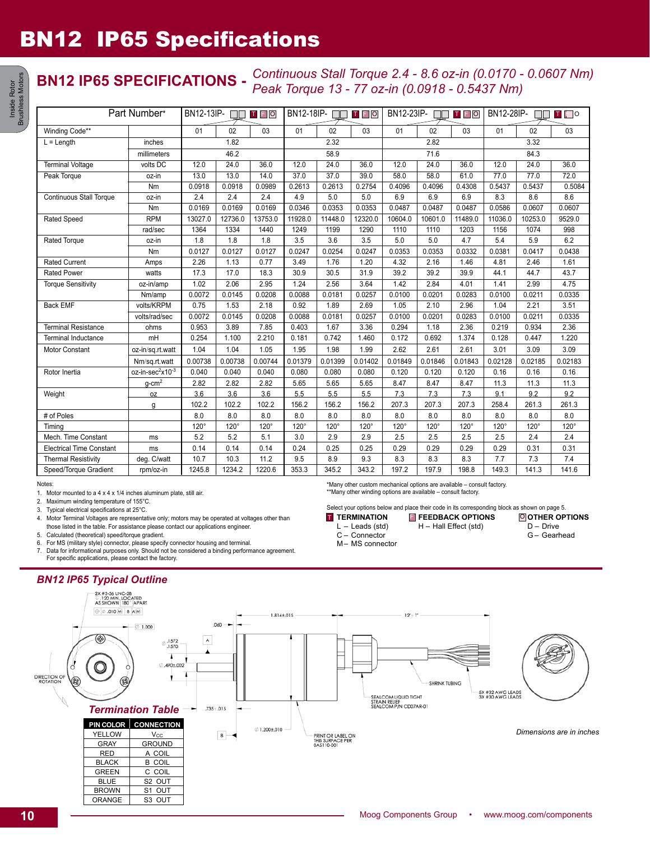# BN12 IP65 Specifications

### **BN12 IP65 SPECIFICATIONS -** *Continuous Stall Torque 2.4 - 8.6 oz-in (0.0170 - 0.0607 Nm) Peak Torque 13 - 77 oz-in (0.0918 - 0.5437 Nm)*

| Part Number*                    |                              | BN12-13IP-<br>TFO |             |             | BN12-18IP-<br>TFO<br>$\Box$ |             |             | BN12-23IP-<br>$T$ $F$ $O$ |             |             | BN12-28IP-<br>$\blacksquare$ |             |             |
|---------------------------------|------------------------------|-------------------|-------------|-------------|-----------------------------|-------------|-------------|---------------------------|-------------|-------------|------------------------------|-------------|-------------|
| Winding Code**                  |                              | 01                | 02          | 03          | 01                          | 02          | 03          | 01                        | 02          | 03          | 01                           | 02          | 03          |
| $L = Length$                    | inches                       | 1.82              |             |             | 2.32                        |             |             | 2.82                      |             |             | 3.32                         |             |             |
|                                 | millimeters                  | 46.2              |             |             | 58.9                        |             |             | 71.6                      |             |             | 84.3                         |             |             |
| <b>Terminal Voltage</b>         | volts DC                     | 12.0              | 24.0        | 36.0        | 12.0                        | 24.0        | 36.0        | 12.0                      | 24.0        | 36.0        | 12.0                         | 24.0        | 36.0        |
| Peak Torque                     | $oz-in$                      | 13.0              | 13.0        | 14.0        | 37.0                        | 37.0        | 39.0        | 58.0                      | 58.0        | 61.0        | 77.0                         | 77.0        | 72.0        |
|                                 | Nm                           | 0.0918            | 0.0918      | 0.0989      | 0.2613                      | 0.2613      | 0.2754      | 0.4096                    | 0.4096      | 0.4308      | 0.5437                       | 0.5437      | 0.5084      |
| <b>Continuous Stall Torque</b>  | oz-in                        | 2.4               | 2.4         | 2.4         | 4.9                         | 5.0         | 5.0         | 6.9                       | 6.9         | 6.9         | 8.3                          | 8.6         | 8.6         |
|                                 | Nm                           | 0.0169            | 0.0169      | 0.0169      | 0.0346                      | 0.0353      | 0.0353      | 0.0487                    | 0.0487      | 0.0487      | 0.0586                       | 0.0607      | 0.0607      |
| <b>Rated Speed</b>              | <b>RPM</b>                   | 13027.0           | 12736.0     | 13753.0     | 11928.0                     | 11448.0     | 12320.0     | 10604.0                   | 10601.0     | 11489.0     | 11036.0                      | 10253.0     | 9529.0      |
|                                 | rad/sec                      | 1364              | 1334        | 1440        | 1249                        | 1199        | 1290        | 1110                      | 1110        | 1203        | 1156                         | 1074        | 998         |
| Rated Torque                    | oz-in                        | 1.8               | 1.8         | 1.8         | 3.5                         | 3.6         | 3.5         | 5.0                       | 5.0         | 4.7         | 5.4                          | 5.9         | 6.2         |
|                                 | Nm                           | 0.0127            | 0.0127      | 0.0127      | 0.0247                      | 0.0254      | 0.0247      | 0.0353                    | 0.0353      | 0.0332      | 0.0381                       | 0.0417      | 0.0438      |
| <b>Rated Current</b>            | Amps                         | 2.26              | 1.13        | 0.77        | 3.49                        | 1.76        | 1.20        | 4.32                      | 2.16        | 1.46        | 4.81                         | 2.46        | 1.61        |
| <b>Rated Power</b>              | watts                        | 17.3              | 17.0        | 18.3        | 30.9                        | 30.5        | 31.9        | 39.2                      | 39.2        | 39.9        | 44.1                         | 44.7        | 43.7        |
| <b>Torque Sensitivity</b>       | oz-in/amp                    | 1.02              | 2.06        | 2.95        | 1.24                        | 2.56        | 3.64        | 1.42                      | 2.84        | 4.01        | 1.41                         | 2.99        | 4.75        |
|                                 | Nm/amp                       | 0.0072            | 0.0145      | 0.0208      | 0.0088                      | 0.0181      | 0.0257      | 0.0100                    | 0.0201      | 0.0283      | 0.0100                       | 0.0211      | 0.0335      |
| <b>Back EMF</b>                 | volts/KRPM                   | 0.75              | 1.53        | 2.18        | 0.92                        | 1.89        | 2.69        | 1.05                      | 2.10        | 2.96        | 1.04                         | 2.21        | 3.51        |
|                                 | volts/rad/sec                | 0.0072            | 0.0145      | 0.0208      | 0.0088                      | 0.0181      | 0.0257      | 0.0100                    | 0.0201      | 0.0283      | 0.0100                       | 0.0211      | 0.0335      |
| <b>Terminal Resistance</b>      | ohms                         | 0.953             | 3.89        | 7.85        | 0.403                       | 1.67        | 3.36        | 0.294                     | 1.18        | 2.36        | 0.219                        | 0.934       | 2.36        |
| <b>Terminal Inductance</b>      | mH                           | 0.254             | 1.100       | 2.210       | 0.181                       | 0.742       | 1.460       | 0.172                     | 0.692       | 1.374       | 0.128                        | 0.447       | 1.220       |
| Motor Constant                  | oz-in/sq.rt.watt             | 1.04              | 1.04        | 1.05        | 1.95                        | 1.98        | 1.99        | 2.62                      | 2.61        | 2.61        | 3.01                         | 3.09        | 3.09        |
|                                 | Nm/sq.rt.watt                | 0.00738           | 0.00738     | 0.00744     | 0.01379                     | 0.01399     | 0.01402     | 0.01849                   | 0.01846     | 0.01843     | 0.02128                      | 0.02185     | 0.02183     |
| Rotor Inertia                   | oz-in-sec <sup>2</sup> x10-3 | 0.040             | 0.040       | 0.040       | 0.080                       | 0.080       | 0.080       | 0.120                     | 0.120       | 0.120       | 0.16                         | 0.16        | 0.16        |
|                                 | $g$ -cm <sup>2</sup>         | 2.82              | 2.82        | 2.82        | 5.65                        | 5.65        | 5.65        | 8.47                      | 8.47        | 8.47        | 11.3                         | 11.3        | 11.3        |
| Weight                          | 0Z                           | 3.6               | 3.6         | 3.6         | 5.5                         | 5.5         | 5.5         | 7.3                       | 7.3         | 7.3         | 9.1                          | 9.2         | 9.2         |
|                                 | g                            | 102.2             | 102.2       | 102.2       | 156.2                       | 156.2       | 156.2       | 207.3                     | 207.3       | 207.3       | 258.4                        | 261.3       | 261.3       |
| # of Poles                      |                              | 8.0               | 8.0         | 8.0         | 8.0                         | 8.0         | 8.0         | 8.0                       | 8.0         | 8.0         | 8.0                          | 8.0         | 8.0         |
| Timina                          |                              | $120^\circ$       | $120^\circ$ | $120^\circ$ | $120^\circ$                 | $120^\circ$ | $120^\circ$ | $120^\circ$               | $120^\circ$ | $120^\circ$ | $120^\circ$                  | $120^\circ$ | $120^\circ$ |
| Mech. Time Constant             | ms                           | 5.2               | 5.2         | 5.1         | 3.0                         | 2.9         | 2.9         | 2.5                       | 2.5         | 2.5         | 2.5                          | 2.4         | 2.4         |
| <b>Electrical Time Constant</b> | ms                           | 0.14              | 0.14        | 0.14        | 0.24                        | 0.25        | 0.25        | 0.29                      | 0.29        | 0.29        | 0.29                         | 0.31        | 0.31        |
| <b>Thermal Resistivity</b>      | deg. C/watt                  | 10.7              | 10.3        | 11.2        | 9.5                         | 8.9         | 9.3         | 8.3                       | 8.3         | 8.3         | 7.7                          | 7.3         | 7.4         |
| Speed/Torque Gradient           | rpm/oz-in                    | 1245.8            | 1234.2      | 1220.6      | 353.3                       | 345.2       | 343.2       | 197.2                     | 197.9       | 198.8       | 149.3                        | 141.3       | 141.6       |

Notes:

1. Motor mounted to a 4 x 4 x 1/4 inches aluminum plate, still air.

2. Maximum winding temperature of 155°C.

3. Typical electrical specifications at 25°C.

4. Motor Terminal Voltages are representative only; motors may be operated at voltages other than

those listed in the table. For assistance please contact our applications engineer.

5. Calculated (theoretical) speed/torque gradient.

6. For MS (military style) connector, please specify connector housing and terminal. 7. Data for informational purposes only. Should not be considered a binding performance agreement.

For specific applications, please contact the factory.

### *BN12 IP65 Typical Outline*



\*Many other custom mechanical options are available – consult factory. \*\*Many other winding options are available - consult factory.

Select your options below and place their code in its corresponding block as shown on page 5.

**TERMINATION** 

**OTHER OPTIONS** L – Leads (std) T TERMINATION **E** FEEDBACK OPTIONS © H – Hall Effect (std)

D – Drive G – Gearhead

- C Connector
- M– MS connector

Inside Rotor<br>rushless Motors Brushless Motors Inside Rotor